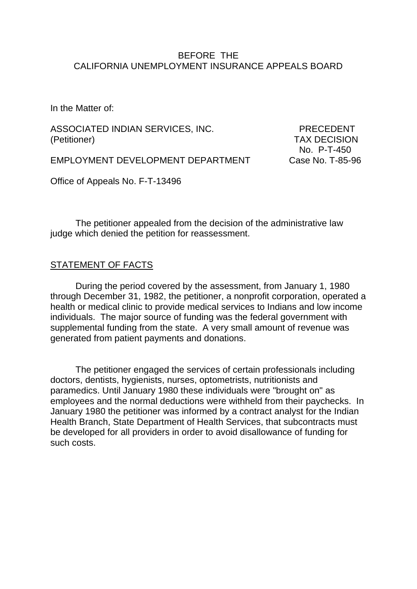## BEFORE THE CALIFORNIA UNEMPLOYMENT INSURANCE APPEALS BOARD

In the Matter of:

ASSOCIATED INDIAN SERVICES, INC. PRECEDENT (Petitioner) TAX DECISION

No. P-T-450

EMPLOYMENT DEVELOPMENT DEPARTMENT Case No. T-85-96

Office of Appeals No. F-T-13496

The petitioner appealed from the decision of the administrative law judge which denied the petition for reassessment.

#### STATEMENT OF FACTS

During the period covered by the assessment, from January 1, 1980 through December 31, 1982, the petitioner, a nonprofit corporation, operated a health or medical clinic to provide medical services to Indians and low income individuals. The major source of funding was the federal government with supplemental funding from the state. A very small amount of revenue was generated from patient payments and donations.

The petitioner engaged the services of certain professionals including doctors, dentists, hygienists, nurses, optometrists, nutritionists and paramedics. Until January 1980 these individuals were "brought on" as employees and the normal deductions were withheld from their paychecks. In January 1980 the petitioner was informed by a contract analyst for the Indian Health Branch, State Department of Health Services, that subcontracts must be developed for all providers in order to avoid disallowance of funding for such costs.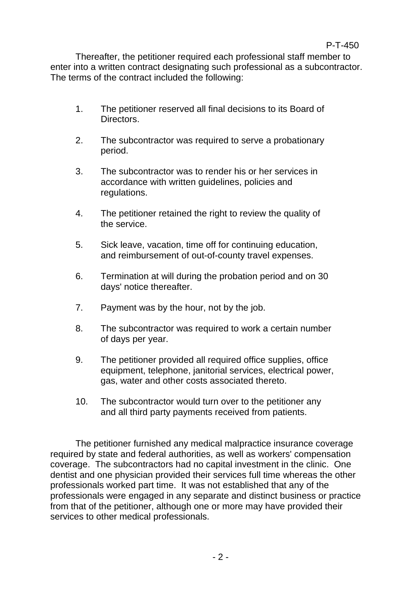Thereafter, the petitioner required each professional staff member to enter into a written contract designating such professional as a subcontractor. The terms of the contract included the following:

- 1. The petitioner reserved all final decisions to its Board of Directors.
- 2. The subcontractor was required to serve a probationary period.
- 3. The subcontractor was to render his or her services in accordance with written guidelines, policies and regulations.
- 4. The petitioner retained the right to review the quality of the service.
- 5. Sick leave, vacation, time off for continuing education, and reimbursement of out-of-county travel expenses.
- 6. Termination at will during the probation period and on 30 days' notice thereafter.
- 7. Payment was by the hour, not by the job.
- 8. The subcontractor was required to work a certain number of days per year.
- 9. The petitioner provided all required office supplies, office equipment, telephone, janitorial services, electrical power, gas, water and other costs associated thereto.
- 10. The subcontractor would turn over to the petitioner any and all third party payments received from patients.

The petitioner furnished any medical malpractice insurance coverage required by state and federal authorities, as well as workers' compensation coverage. The subcontractors had no capital investment in the clinic. One dentist and one physician provided their services full time whereas the other professionals worked part time. It was not established that any of the professionals were engaged in any separate and distinct business or practice from that of the petitioner, although one or more may have provided their services to other medical professionals.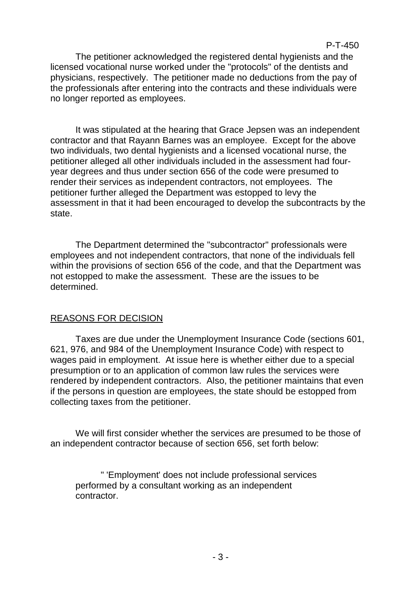The petitioner acknowledged the registered dental hygienists and the licensed vocational nurse worked under the "protocols" of the dentists and physicians, respectively. The petitioner made no deductions from the pay of the professionals after entering into the contracts and these individuals were no longer reported as employees.

It was stipulated at the hearing that Grace Jepsen was an independent contractor and that Rayann Barnes was an employee. Except for the above two individuals, two dental hygienists and a licensed vocational nurse, the petitioner alleged all other individuals included in the assessment had fouryear degrees and thus under section 656 of the code were presumed to render their services as independent contractors, not employees. The petitioner further alleged the Department was estopped to levy the assessment in that it had been encouraged to develop the subcontracts by the state.

The Department determined the "subcontractor" professionals were employees and not independent contractors, that none of the individuals fell within the provisions of section 656 of the code, and that the Department was not estopped to make the assessment. These are the issues to be determined.

# REASONS FOR DECISION

Taxes are due under the Unemployment Insurance Code (sections 601, 621, 976, and 984 of the Unemployment Insurance Code) with respect to wages paid in employment. At issue here is whether either due to a special presumption or to an application of common law rules the services were rendered by independent contractors. Also, the petitioner maintains that even if the persons in question are employees, the state should be estopped from collecting taxes from the petitioner.

We will first consider whether the services are presumed to be those of an independent contractor because of section 656, set forth below:

" 'Employment' does not include professional services performed by a consultant working as an independent contractor.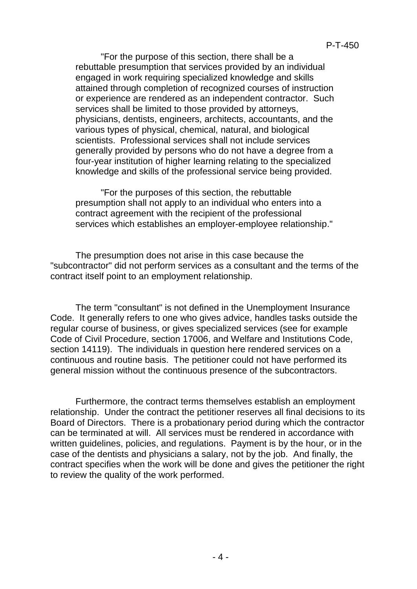"For the purpose of this section, there shall be a rebuttable presumption that services provided by an individual engaged in work requiring specialized knowledge and skills attained through completion of recognized courses of instruction or experience are rendered as an independent contractor. Such services shall be limited to those provided by attorneys, physicians, dentists, engineers, architects, accountants, and the various types of physical, chemical, natural, and biological scientists. Professional services shall not include services generally provided by persons who do not have a degree from a four-year institution of higher learning relating to the specialized knowledge and skills of the professional service being provided.

"For the purposes of this section, the rebuttable presumption shall not apply to an individual who enters into a contract agreement with the recipient of the professional services which establishes an employer-employee relationship."

The presumption does not arise in this case because the "subcontractor" did not perform services as a consultant and the terms of the contract itself point to an employment relationship.

The term "consultant" is not defined in the Unemployment Insurance Code. It generally refers to one who gives advice, handles tasks outside the regular course of business, or gives specialized services (see for example Code of Civil Procedure, section 17006, and Welfare and Institutions Code, section 14119). The individuals in question here rendered services on a continuous and routine basis. The petitioner could not have performed its general mission without the continuous presence of the subcontractors.

Furthermore, the contract terms themselves establish an employment relationship. Under the contract the petitioner reserves all final decisions to its Board of Directors. There is a probationary period during which the contractor can be terminated at will. All services must be rendered in accordance with written guidelines, policies, and regulations. Payment is by the hour, or in the case of the dentists and physicians a salary, not by the job. And finally, the contract specifies when the work will be done and gives the petitioner the right to review the quality of the work performed.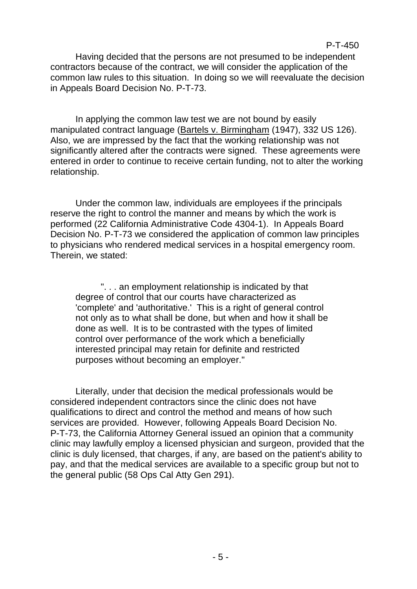Having decided that the persons are not presumed to be independent contractors because of the contract, we will consider the application of the common law rules to this situation. In doing so we will reevaluate the decision in Appeals Board Decision No. P-T-73.

In applying the common law test we are not bound by easily manipulated contract language (Bartels v. Birmingham (1947), 332 US 126). Also, we are impressed by the fact that the working relationship was not significantly altered after the contracts were signed. These agreements were entered in order to continue to receive certain funding, not to alter the working relationship.

Under the common law, individuals are employees if the principals reserve the right to control the manner and means by which the work is performed (22 California Administrative Code 4304-1). In Appeals Board Decision No. P-T-73 we considered the application of common law principles to physicians who rendered medical services in a hospital emergency room. Therein, we stated:

". . . an employment relationship is indicated by that degree of control that our courts have characterized as 'complete' and 'authoritative.' This is a right of general control not only as to what shall be done, but when and how it shall be done as well. It is to be contrasted with the types of limited control over performance of the work which a beneficially interested principal may retain for definite and restricted purposes without becoming an employer."

Literally, under that decision the medical professionals would be considered independent contractors since the clinic does not have qualifications to direct and control the method and means of how such services are provided. However, following Appeals Board Decision No. P-T-73, the California Attorney General issued an opinion that a community clinic may lawfully employ a licensed physician and surgeon, provided that the clinic is duly licensed, that charges, if any, are based on the patient's ability to pay, and that the medical services are available to a specific group but not to the general public (58 Ops Cal Atty Gen 291).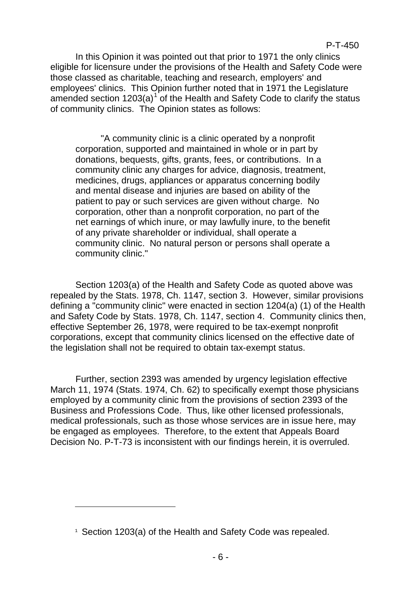In this Opinion it was pointed out that prior to 1971 the only clinics eligible for licensure under the provisions of the Health and Safety Code were those classed as charitable, teaching and research, employers' and employees' clinics. This Opinion further noted that in 1971 the Legislature amended section  $1203(a)^{1}$  $1203(a)^{1}$  of the Health and Safety Code to clarify the status of community clinics. The Opinion states as follows:

"A community clinic is a clinic operated by a nonprofit corporation, supported and maintained in whole or in part by donations, bequests, gifts, grants, fees, or contributions. In a community clinic any charges for advice, diagnosis, treatment, medicines, drugs, appliances or apparatus concerning bodily and mental disease and injuries are based on ability of the patient to pay or such services are given without charge. No corporation, other than a nonprofit corporation, no part of the net earnings of which inure, or may lawfully inure, to the benefit of any private shareholder or individual, shall operate a community clinic. No natural person or persons shall operate a community clinic."

Section 1203(a) of the Health and Safety Code as quoted above was repealed by the Stats. 1978, Ch. 1147, section 3. However, similar provisions defining a "community clinic" were enacted in section 1204(a) (1) of the Health and Safety Code by Stats. 1978, Ch. 1147, section 4. Community clinics then, effective September 26, 1978, were required to be tax-exempt nonprofit corporations, except that community clinics licensed on the effective date of the legislation shall not be required to obtain tax-exempt status.

Further, section 2393 was amended by urgency legislation effective March 11, 1974 (Stats. 1974, Ch. 62) to specifically exempt those physicians employed by a community clinic from the provisions of section 2393 of the Business and Professions Code. Thus, like other licensed professionals, medical professionals, such as those whose services are in issue here, may be engaged as employees. Therefore, to the extent that Appeals Board Decision No. P-T-73 is inconsistent with our findings herein, it is overruled.

Ξ

<span id="page-5-0"></span><sup>&</sup>lt;sup>1</sup> Section 1203(a) of the Health and Safety Code was repealed.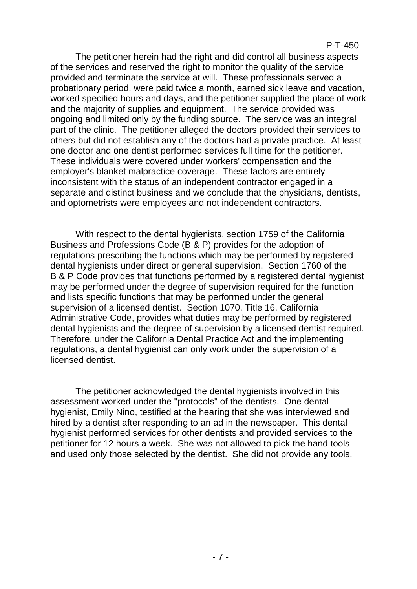The petitioner herein had the right and did control all business aspects of the services and reserved the right to monitor the quality of the service provided and terminate the service at will. These professionals served a probationary period, were paid twice a month, earned sick leave and vacation, worked specified hours and days, and the petitioner supplied the place of work and the majority of supplies and equipment. The service provided was ongoing and limited only by the funding source. The service was an integral part of the clinic. The petitioner alleged the doctors provided their services to others but did not establish any of the doctors had a private practice. At least one doctor and one dentist performed services full time for the petitioner. These individuals were covered under workers' compensation and the employer's blanket malpractice coverage. These factors are entirely inconsistent with the status of an independent contractor engaged in a separate and distinct business and we conclude that the physicians, dentists, and optometrists were employees and not independent contractors.

With respect to the dental hygienists, section 1759 of the California Business and Professions Code (B & P) provides for the adoption of regulations prescribing the functions which may be performed by registered dental hygienists under direct or general supervision. Section 1760 of the B & P Code provides that functions performed by a registered dental hygienist may be performed under the degree of supervision required for the function and lists specific functions that may be performed under the general supervision of a licensed dentist. Section 1070, Title 16, California Administrative Code, provides what duties may be performed by registered dental hygienists and the degree of supervision by a licensed dentist required. Therefore, under the California Dental Practice Act and the implementing regulations, a dental hygienist can only work under the supervision of a licensed dentist.

The petitioner acknowledged the dental hygienists involved in this assessment worked under the "protocols" of the dentists. One dental hygienist, Emily Nino, testified at the hearing that she was interviewed and hired by a dentist after responding to an ad in the newspaper. This dental hygienist performed services for other dentists and provided services to the petitioner for 12 hours a week. She was not allowed to pick the hand tools and used only those selected by the dentist. She did not provide any tools.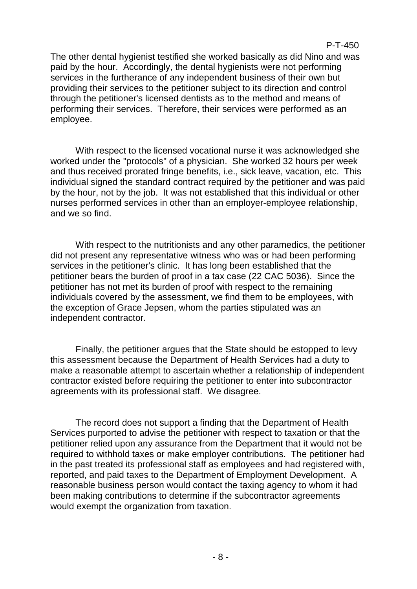The other dental hygienist testified she worked basically as did Nino and was paid by the hour. Accordingly, the dental hygienists were not performing services in the furtherance of any independent business of their own but providing their services to the petitioner subject to its direction and control through the petitioner's licensed dentists as to the method and means of performing their services. Therefore, their services were performed as an employee.

With respect to the licensed vocational nurse it was acknowledged she worked under the "protocols" of a physician. She worked 32 hours per week and thus received prorated fringe benefits, i.e., sick leave, vacation, etc. This individual signed the standard contract required by the petitioner and was paid by the hour, not by the job. It was not established that this individual or other nurses performed services in other than an employer-employee relationship, and we so find.

With respect to the nutritionists and any other paramedics, the petitioner did not present any representative witness who was or had been performing services in the petitioner's clinic. It has long been established that the petitioner bears the burden of proof in a tax case (22 CAC 5036). Since the petitioner has not met its burden of proof with respect to the remaining individuals covered by the assessment, we find them to be employees, with the exception of Grace Jepsen, whom the parties stipulated was an independent contractor.

Finally, the petitioner argues that the State should be estopped to levy this assessment because the Department of Health Services had a duty to make a reasonable attempt to ascertain whether a relationship of independent contractor existed before requiring the petitioner to enter into subcontractor agreements with its professional staff. We disagree.

The record does not support a finding that the Department of Health Services purported to advise the petitioner with respect to taxation or that the petitioner relied upon any assurance from the Department that it would not be required to withhold taxes or make employer contributions. The petitioner had in the past treated its professional staff as employees and had registered with, reported, and paid taxes to the Department of Employment Development. A reasonable business person would contact the taxing agency to whom it had been making contributions to determine if the subcontractor agreements would exempt the organization from taxation.